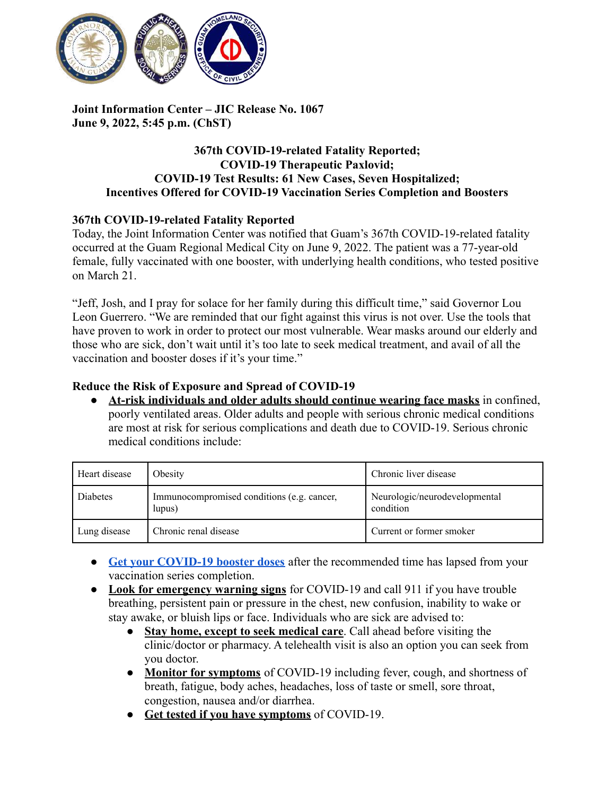

**Joint Information Center – JIC Release No. 1067 June 9, 2022, 5:45 p.m. (ChST)**

### **367th COVID-19-related Fatality Reported; COVID-19 Therapeutic Paxlovid; COVID-19 Test Results: 61 New Cases, Seven Hospitalized; Incentives Offered for COVID-19 Vaccination Series Completion and Boosters**

### **367th COVID-19-related Fatality Reported**

Today, the Joint Information Center was notified that Guam's 367th COVID-19-related fatality occurred at the Guam Regional Medical City on June 9, 2022. The patient was a 77-year-old female, fully vaccinated with one booster, with underlying health conditions, who tested positive on March 21.

"Jeff, Josh, and I pray for solace for her family during this difficult time," said Governor Lou Leon Guerrero. "We are reminded that our fight against this virus is not over. Use the tools that have proven to work in order to protect our most vulnerable. Wear masks around our elderly and those who are sick, don't wait until it's too late to seek medical treatment, and avail of all the vaccination and booster doses if it's your time."

### **Reduce the Risk of Exposure and Spread of COVID-19**

● **At-risk individuals and older adults should continue wearing face masks** in confined, poorly ventilated areas. Older adults and people with serious chronic medical conditions are most at risk for serious complications and death due to COVID-19. Serious chronic medical conditions include:

| Heart disease | Obesity                                              | Chronic liver disease                      |
|---------------|------------------------------------------------------|--------------------------------------------|
| Diabetes      | Immunocompromised conditions (e.g. cancer,<br>lupus) | Neurologic/neurodevelopmental<br>condition |
| Lung disease  | Chronic renal disease                                | Current or former smoker                   |

- **[Get your COVID-19 booster doses](http://cdc.gov/coronavirus/2019-ncov/vaccines/booster-shot.html)** after the recommended time has lapsed from your vaccination series completion.
- **Look for emergency warning signs** for COVID-19 and call 911 if you have trouble breathing, persistent pain or pressure in the chest, new confusion, inability to wake or stay awake, or bluish lips or face. Individuals who are sick are advised to:
	- **Stay home, except to seek medical care**. Call ahead before visiting the clinic/doctor or pharmacy. A telehealth visit is also an option you can seek from you doctor.
	- **Monitor for symptoms** of COVID-19 including fever, cough, and shortness of breath, fatigue, body aches, headaches, loss of taste or smell, sore throat, congestion, nausea and/or diarrhea.
	- **Get tested if you have symptoms** of COVID-19.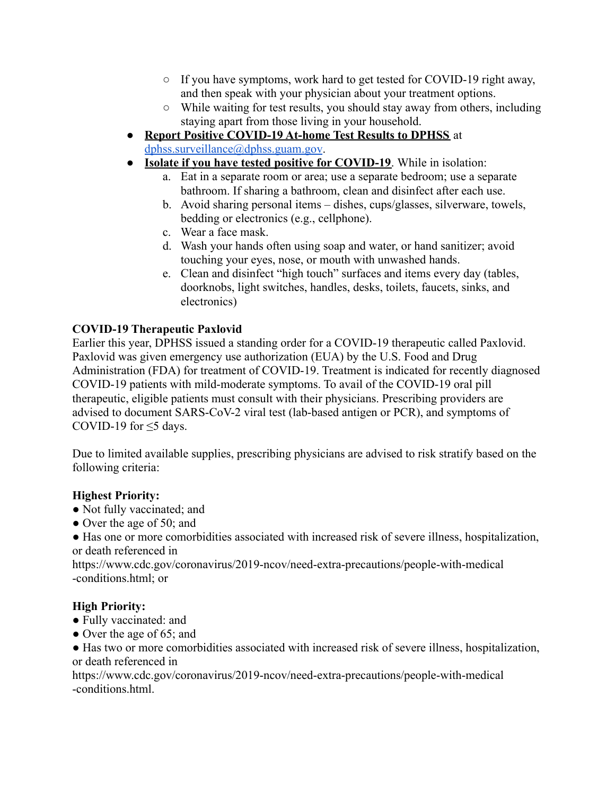- If you have symptoms, work hard to get tested for COVID-19 right away, and then speak with your physician about your treatment options.
- While waiting for test results, you should stay away from others, including staying apart from those living in your household.
- **Report Positive COVID-19 At-home Test Results to DPHSS** at [dphss.surveillance@dphss.guam.gov](mailto:dphss.surveillance@dphss.guam.gov).
- **Isolate if you have tested positive for COVID-19**. While in isolation:
	- a. Eat in a separate room or area; use a separate bedroom; use a separate bathroom. If sharing a bathroom, clean and disinfect after each use.
	- b. Avoid sharing personal items dishes, cups/glasses, silverware, towels, bedding or electronics (e.g., cellphone).
	- c. Wear a face mask.
	- d. Wash your hands often using soap and water, or hand sanitizer; avoid touching your eyes, nose, or mouth with unwashed hands.
	- e. Clean and disinfect "high touch" surfaces and items every day (tables, doorknobs, light switches, handles, desks, toilets, faucets, sinks, and electronics)

### **COVID-19 Therapeutic Paxlovid**

Earlier this year, DPHSS issued a standing order for a COVID-19 therapeutic called Paxlovid. Paxlovid was given emergency use authorization (EUA) by the U.S. Food and Drug Administration (FDA) for treatment of COVID-19. Treatment is indicated for recently diagnosed COVID-19 patients with mild-moderate symptoms. To avail of the COVID-19 oral pill therapeutic, eligible patients must consult with their physicians. Prescribing providers are advised to document SARS-CoV-2 viral test (lab-based antigen or PCR), and symptoms of COVID-19 for  $\leq$ 5 days.

Due to limited available supplies, prescribing physicians are advised to risk stratify based on the following criteria:

### **Highest Priority:**

- Not fully vaccinated; and
- Over the age of 50; and
- Has one or more comorbidities associated with increased risk of severe illness, hospitalization, or death referenced in

https://www.cdc.gov/coronavirus/2019-ncov/need-extra-precautions/people-with-medical -conditions.html; or

### **High Priority:**

- Fully vaccinated: and
- Over the age of 65; and

● Has two or more comorbidities associated with increased risk of severe illness, hospitalization, or death referenced in

https://www.cdc.gov/coronavirus/2019-ncov/need-extra-precautions/people-with-medical -conditions.html.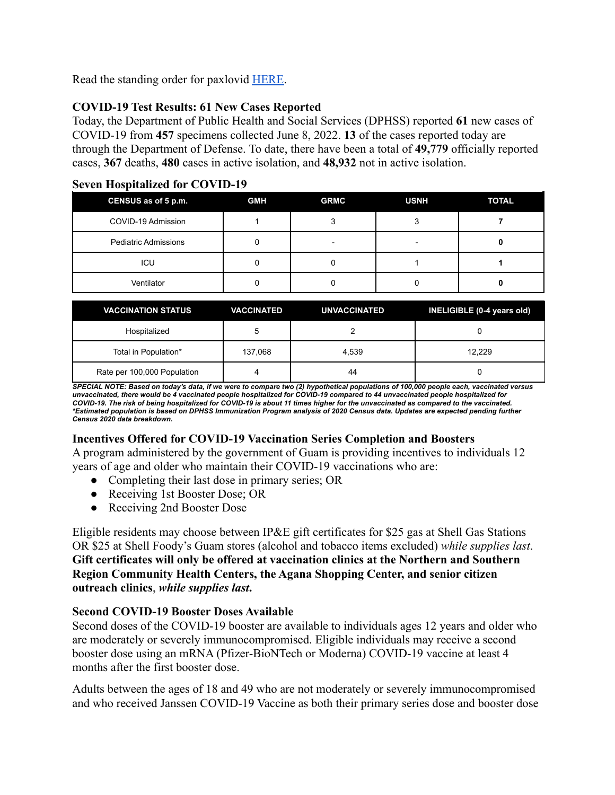Read the standing order for paxlovid [HERE.](https://dphss.guam.gov/wp-content/uploads/2022/02/Standing-Order-of-Paxlovid-signed-dated-48pg-1.pdf)

# **COVID-19 Test Results: 61 New Cases Reported**

Today, the Department of Public Health and Social Services (DPHSS) reported **61** new cases of COVID-19 from **457** specimens collected June 8, 2022. **13** of the cases reported today are through the Department of Defense. To date, there have been a total of **49,779** officially reported cases, **367** deaths, **480** cases in active isolation, and **48,932** not in active isolation.

| CENSUS as of 5 p.m.         | <b>GMH</b> | <b>GRMC</b> | <b>USNH</b> | <b>TOTAL</b> |
|-----------------------------|------------|-------------|-------------|--------------|
| COVID-19 Admission          |            |             |             |              |
| <b>Pediatric Admissions</b> |            | -           | -           |              |
| ICU                         |            |             |             |              |
| Ventilator                  |            |             |             |              |

### **Seven Hospitalized for COVID-19**

| <b>VACCINATION STATUS</b>   | <b>VACCINATED</b> | <b>UNVACCINATED</b> | INELIGIBLE (0-4 years old) |
|-----------------------------|-------------------|---------------------|----------------------------|
| Hospitalized                |                   |                     |                            |
| Total in Population*        | 137,068           | 4.539               | 12.229                     |
| Rate per 100,000 Population |                   | 44                  |                            |

SPECIAL NOTE: Based on today's data, if we were to compare two (2) hypothetical populations of 100,000 people each, vaccinated versus unvaccinated, there would be 4 vaccinated people hospitalized for COVID-19 compared to 44 unvaccinated people hospitalized for COVID-19. The risk of being hospitalized for COVID-19 is about 11 times higher for the unvaccinated as compared to the vaccinated. \*Estimated population is based on DPHSS Immunization Program analysis of 2020 Census data. Updates are expected pending further *Census 2020 data breakdown.*

# **Incentives Offered for COVID-19 Vaccination Series Completion and Boosters**

A program administered by the government of Guam is providing incentives to individuals 12 years of age and older who maintain their COVID-19 vaccinations who are:

- Completing their last dose in primary series; OR
- Receiving 1st Booster Dose; OR
- Receiving 2nd Booster Dose

Eligible residents may choose between IP&E gift certificates for \$25 gas at Shell Gas Stations OR \$25 at Shell Foody's Guam stores (alcohol and tobacco items excluded) *while supplies last*. **Gift certificates will only be offered at vaccination clinics at the Northern and Southern Region Community Health Centers, the Agana Shopping Center, and senior citizen outreach clinics**, *while supplies last***.**

### **Second COVID-19 Booster Doses Available**

Second doses of the COVID-19 booster are available to individuals ages 12 years and older who are moderately or severely immunocompromised. Eligible individuals may receive a second booster dose using an mRNA (Pfizer-BioNTech or Moderna) COVID-19 vaccine at least 4 months after the first booster dose.

Adults between the ages of 18 and 49 who are not moderately or severely immunocompromised and who received Janssen COVID-19 Vaccine as both their primary series dose and booster dose